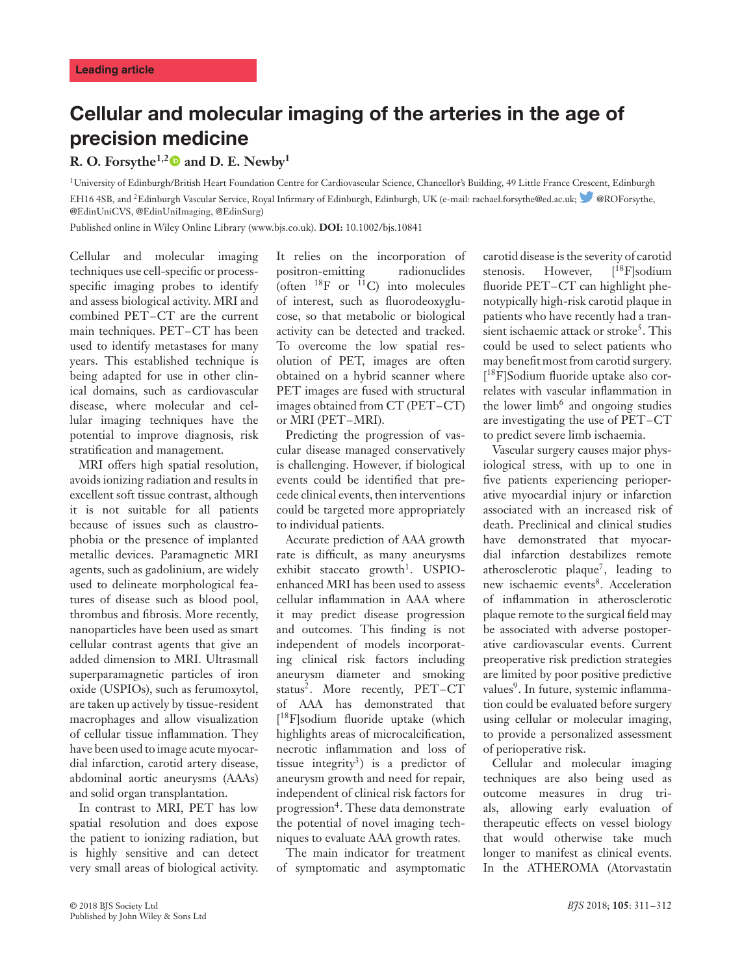## Cellular and molecular imaging of the arteries in the age of precision medicine

## **R. O. Forsythe**<sup>1,[2](http://orcid.org/0000-0002-3311-9599)</sup> $\bullet$  and D. E. Newby<sup>1</sup>

<sup>1</sup>University of Edinburgh/British Heart Foundation Centre for Cardiovascular Science, Chancellor's Building, 49 Little France Crescent, Edinburgh EH16 4SB, and <sup>2</sup>Edinburgh Vascular Service, Royal Infirmary of Edinburgh, Edinburgh, UK (e-mail: rachael.forsythe@ed.ac.uk; @ROForsythe, @EdinUniCVS, @EdinUniImaging, @EdinSurg)

Published online in Wiley Online Library (www.bjs.co.uk). **DOI:** 10.1002/bjs.10841

Cellular and molecular imaging techniques use cell-specifc or processspecifc imaging probes to identify and assess biological activity. MRI and combined PET–CT are the current main techniques. PET–CT has been used to identify metastases for many years. This established technique is being adapted for use in other clinical domains, such as cardiovascular disease, where molecular and cellular imaging techniques have the potential to improve diagnosis, risk stratifcation and management.

MRI offers high spatial resolution, avoids ionizing radiation and results in excellent soft tissue contrast, although it is not suitable for all patients because of issues such as claustrophobia or the presence of implanted metallic devices. Paramagnetic MRI agents, such as gadolinium, are widely used to delineate morphological features of disease such as blood pool, thrombus and fbrosis. More recently, nanoparticles have been used as smart cellular contrast agents that give an added dimension to MRI. Ultrasmall superparamagnetic particles of iron oxide (USPIOs), such as ferumoxytol, are taken up actively by tissue-resident macrophages and allow visualization of cellular tissue infammation. They have been used to image acute myocardial infarction, carotid artery disease, abdominal aortic aneurysms (AAAs) and solid organ transplantation.

In contrast to MRI, PET has low spatial resolution and does expose the patient to ionizing radiation, but is highly sensitive and can detect very small areas of biological activity.

It relies on the incorporation of positron-emitting radionuclides (often  $^{18}$ F or  $^{11}$ C) into molecules of interest, such as fuorodeoxyglucose, so that metabolic or biological activity can be detected and tracked. To overcome the low spatial resolution of PET, images are often obtained on a hybrid scanner where PET images are fused with structural images obtained from CT (PET–CT) or MRI (PET–MRI).

Predicting the progression of vascular disease managed conservatively is challenging. However, if biological events could be identifed that precede clinical events, then interventions could be targeted more appropriately to individual patients.

Accurate prediction of AAA growth rate is difficult, as many aneurysms exhibit staccato growth<sup>1</sup>. USPIOenhanced MRI has been used to assess cellular infammation in AAA where it may predict disease progression and outcomes. This fnding is not independent of models incorporating clinical risk factors including aneurysm diameter and smoking status<sup>2</sup>. More recently, PET-CT of AAA has demonstrated that [ 18F]sodium fuoride uptake (which highlights areas of microcalcifcation, necrotic infammation and loss of tissue integrity<sup>3</sup>) is a predictor of aneurysm growth and need for repair, independent of clinical risk factors for progression<sup>4</sup>. These data demonstrate the potential of novel imaging techniques to evaluate AAA growth rates.

The main indicator for treatment of symptomatic and asymptomatic carotid disease is the severity of carotid stenosis. However, [<sup>18</sup>F]sodium fuoride PET–CT can highlight phenotypically high-risk carotid plaque in patients who have recently had a transient ischaemic attack or stroke<sup>5</sup>. This could be used to select patients who may beneft most from carotid surgery. [ 18F]Sodium fuoride uptake also correlates with vascular infammation in the lower limb<sup>6</sup> and ongoing studies are investigating the use of PET–CT to predict severe limb ischaemia.

Vascular surgery causes major physiological stress, with up to one in five patients experiencing perioperative myocardial injury or infarction associated with an increased risk of death. Preclinical and clinical studies have demonstrated that myocardial infarction destabilizes remote atherosclerotic plaque<sup>7</sup>, leading to new ischaemic events<sup>8</sup>. Acceleration of infammation in atherosclerotic plaque remote to the surgical feld may be associated with adverse postoperative cardiovascular events. Current preoperative risk prediction strategies are limited by poor positive predictive values<sup>9</sup>. In future, systemic inflammation could be evaluated before surgery using cellular or molecular imaging, to provide a personalized assessment of perioperative risk.

Cellular and molecular imaging techniques are also being used as outcome measures in drug trials, allowing early evaluation of therapeutic effects on vessel biology that would otherwise take much longer to manifest as clinical events. In the ATHEROMA (Atorvastatin